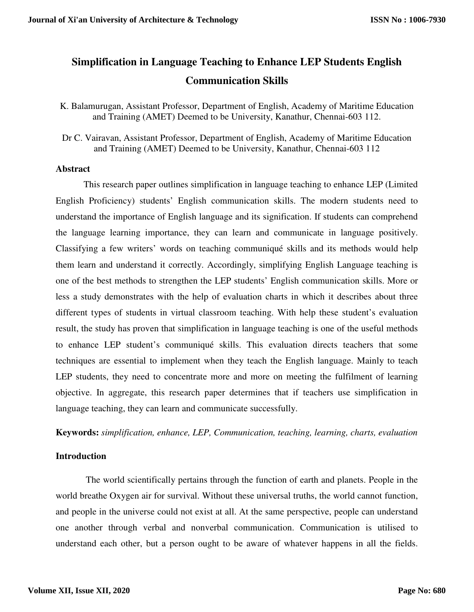# **Simplification in Language Teaching to Enhance LEP Students English Communication Skills**

K. Balamurugan, Assistant Professor, Department of English, Academy of Maritime Education and Training (AMET) Deemed to be University, Kanathur, Chennai-603 112.

Dr C. Vairavan, Assistant Professor, Department of English, Academy of Maritime Education and Training (AMET) Deemed to be University, Kanathur, Chennai-603 112

### **Abstract**

This research paper outlines simplification in language teaching to enhance LEP (Limited English Proficiency) students' English communication skills. The modern students need to understand the importance of English language and its signification. If students can comprehend the language learning importance, they can learn and communicate in language positively. Classifying a few writers' words on teaching communiqué skills and its methods would help them learn and understand it correctly. Accordingly, simplifying English Language teaching is one of the best methods to strengthen the LEP students' English communication skills. More or less a study demonstrates with the help of evaluation charts in which it describes about three different types of students in virtual classroom teaching. With help these student's evaluation result, the study has proven that simplification in language teaching is one of the useful methods to enhance LEP student's communiqué skills. This evaluation directs teachers that some techniques are essential to implement when they teach the English language. Mainly to teach LEP students, they need to concentrate more and more on meeting the fulfilment of learning objective. In aggregate, this research paper determines that if teachers use simplification in language teaching, they can learn and communicate successfully.

**Keywords:** *simplification, enhance, LEP, Communication, teaching, learning, charts, evaluation* 

# **Introduction**

 The world scientifically pertains through the function of earth and planets. People in the world breathe Oxygen air for survival. Without these universal truths, the world cannot function, and people in the universe could not exist at all. At the same perspective, people can understand one another through verbal and nonverbal communication. Communication is utilised to understand each other, but a person ought to be aware of whatever happens in all the fields.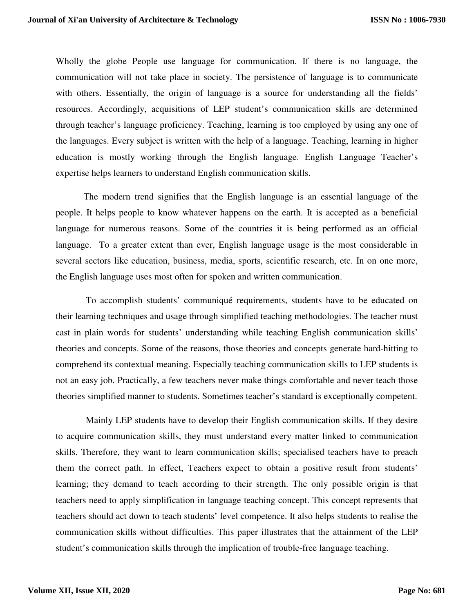Wholly the globe People use language for communication. If there is no language, the communication will not take place in society. The persistence of language is to communicate with others. Essentially, the origin of language is a source for understanding all the fields' resources. Accordingly, acquisitions of LEP student's communication skills are determined through teacher's language proficiency. Teaching, learning is too employed by using any one of the languages. Every subject is written with the help of a language. Teaching, learning in higher education is mostly working through the English language. English Language Teacher's expertise helps learners to understand English communication skills.

The modern trend signifies that the English language is an essential language of the people. It helps people to know whatever happens on the earth. It is accepted as a beneficial language for numerous reasons. Some of the countries it is being performed as an official language. To a greater extent than ever, English language usage is the most considerable in several sectors like education, business, media, sports, scientific research, etc. In on one more, the English language uses most often for spoken and written communication.

 To accomplish students' communiqué requirements, students have to be educated on their learning techniques and usage through simplified teaching methodologies. The teacher must cast in plain words for students' understanding while teaching English communication skills' theories and concepts. Some of the reasons, those theories and concepts generate hard-hitting to comprehend its contextual meaning. Especially teaching communication skills to LEP students is not an easy job. Practically, a few teachers never make things comfortable and never teach those theories simplified manner to students. Sometimes teacher's standard is exceptionally competent.

 Mainly LEP students have to develop their English communication skills. If they desire to acquire communication skills, they must understand every matter linked to communication skills. Therefore, they want to learn communication skills; specialised teachers have to preach them the correct path. In effect, Teachers expect to obtain a positive result from students' learning; they demand to teach according to their strength. The only possible origin is that teachers need to apply simplification in language teaching concept. This concept represents that teachers should act down to teach students' level competence. It also helps students to realise the communication skills without difficulties. This paper illustrates that the attainment of the LEP student's communication skills through the implication of trouble-free language teaching.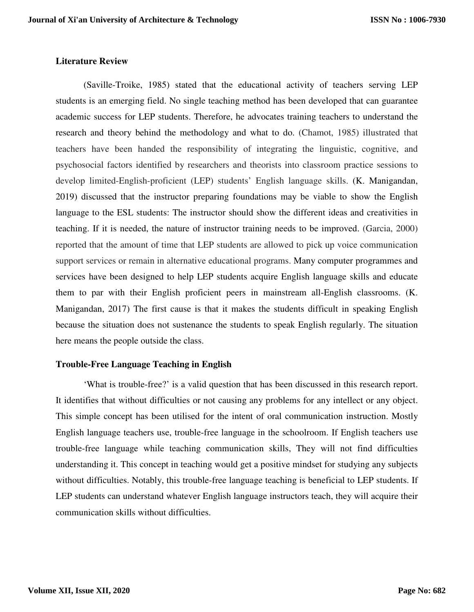### **Literature Review**

(Saville-Troike, 1985) stated that the educational activity of teachers serving LEP students is an emerging field. No single teaching method has been developed that can guarantee academic success for LEP students. Therefore, he advocates training teachers to understand the research and theory behind the methodology and what to do. (Chamot, 1985) illustrated that teachers have been handed the responsibility of integrating the linguistic, cognitive, and psychosocial factors identified by researchers and theorists into classroom practice sessions to develop limited-English-proficient (LEP) students' English language skills. (K. Manigandan, 2019) discussed that the instructor preparing foundations may be viable to show the English language to the ESL students: The instructor should show the different ideas and creativities in teaching. If it is needed, the nature of instructor training needs to be improved. (Garcia, 2000) reported that the amount of time that LEP students are allowed to pick up voice communication support services or remain in alternative educational programs. Many computer programmes and services have been designed to help LEP students acquire English language skills and educate them to par with their English proficient peers in mainstream all-English classrooms. (K. Manigandan, 2017) The first cause is that it makes the students difficult in speaking English because the situation does not sustenance the students to speak English regularly. The situation here means the people outside the class.

# **Trouble-Free Language Teaching in English**

'What is trouble-free?' is a valid question that has been discussed in this research report. It identifies that without difficulties or not causing any problems for any intellect or any object. This simple concept has been utilised for the intent of oral communication instruction. Mostly English language teachers use, trouble-free language in the schoolroom. If English teachers use trouble-free language while teaching communication skills, They will not find difficulties understanding it. This concept in teaching would get a positive mindset for studying any subjects without difficulties. Notably, this trouble-free language teaching is beneficial to LEP students. If LEP students can understand whatever English language instructors teach, they will acquire their communication skills without difficulties.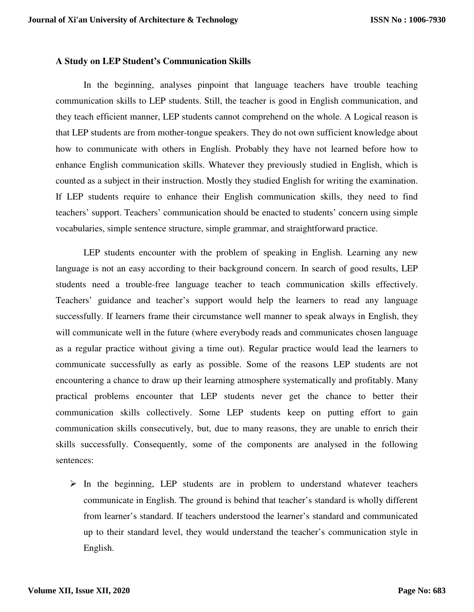#### **A Study on LEP Student's Communication Skills**

In the beginning, analyses pinpoint that language teachers have trouble teaching communication skills to LEP students. Still, the teacher is good in English communication, and they teach efficient manner, LEP students cannot comprehend on the whole. A Logical reason is that LEP students are from mother-tongue speakers. They do not own sufficient knowledge about how to communicate with others in English. Probably they have not learned before how to enhance English communication skills. Whatever they previously studied in English, which is counted as a subject in their instruction. Mostly they studied English for writing the examination. If LEP students require to enhance their English communication skills, they need to find teachers' support. Teachers' communication should be enacted to students' concern using simple vocabularies, simple sentence structure, simple grammar, and straightforward practice.

LEP students encounter with the problem of speaking in English. Learning any new language is not an easy according to their background concern. In search of good results, LEP students need a trouble-free language teacher to teach communication skills effectively. Teachers' guidance and teacher's support would help the learners to read any language successfully. If learners frame their circumstance well manner to speak always in English, they will communicate well in the future (where everybody reads and communicates chosen language as a regular practice without giving a time out). Regular practice would lead the learners to communicate successfully as early as possible. Some of the reasons LEP students are not encountering a chance to draw up their learning atmosphere systematically and profitably. Many practical problems encounter that LEP students never get the chance to better their communication skills collectively. Some LEP students keep on putting effort to gain communication skills consecutively, but, due to many reasons, they are unable to enrich their skills successfully. Consequently, some of the components are analysed in the following sentences:

 $\triangleright$  In the beginning, LEP students are in problem to understand whatever teachers communicate in English. The ground is behind that teacher's standard is wholly different from learner's standard. If teachers understood the learner's standard and communicated up to their standard level, they would understand the teacher's communication style in English.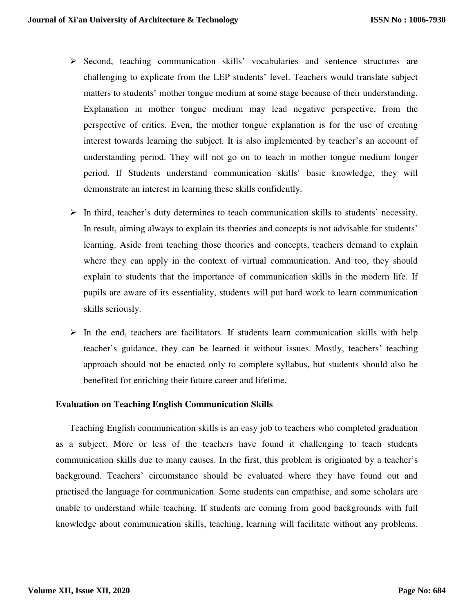- $\triangleright$  Second, teaching communication skills' vocabularies and sentence structures are challenging to explicate from the LEP students' level. Teachers would translate subject matters to students' mother tongue medium at some stage because of their understanding. Explanation in mother tongue medium may lead negative perspective, from the perspective of critics. Even, the mother tongue explanation is for the use of creating interest towards learning the subject. It is also implemented by teacher's an account of understanding period. They will not go on to teach in mother tongue medium longer period. If Students understand communication skills' basic knowledge, they will demonstrate an interest in learning these skills confidently.
- $\triangleright$  In third, teacher's duty determines to teach communication skills to students' necessity. In result, aiming always to explain its theories and concepts is not advisable for students' learning. Aside from teaching those theories and concepts, teachers demand to explain where they can apply in the context of virtual communication. And too, they should explain to students that the importance of communication skills in the modern life. If pupils are aware of its essentiality, students will put hard work to learn communication skills seriously.
- $\triangleright$  In the end, teachers are facilitators. If students learn communication skills with help teacher's guidance, they can be learned it without issues. Mostly, teachers' teaching approach should not be enacted only to complete syllabus, but students should also be benefited for enriching their future career and lifetime.

# **Evaluation on Teaching English Communication Skills**

Teaching English communication skills is an easy job to teachers who completed graduation as a subject. More or less of the teachers have found it challenging to teach students communication skills due to many causes. In the first, this problem is originated by a teacher's background. Teachers' circumstance should be evaluated where they have found out and practised the language for communication. Some students can empathise, and some scholars are unable to understand while teaching. If students are coming from good backgrounds with full knowledge about communication skills, teaching, learning will facilitate without any problems.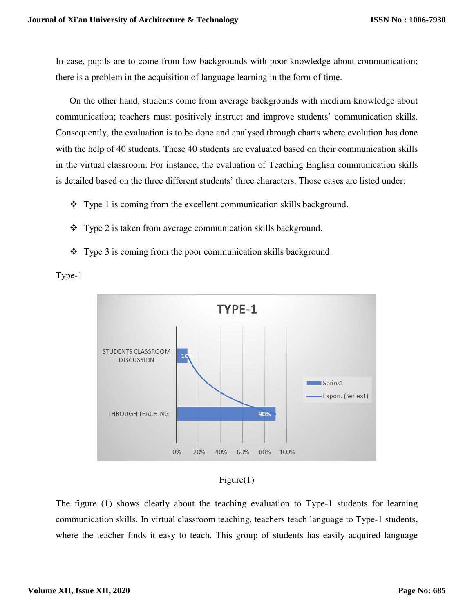In case, pupils are to come from low backgrounds with poor knowledge about communication; there is a problem in the acquisition of language learning in the form of time.

On the other hand, students come from average backgrounds with medium knowledge about communication; teachers must positively instruct and improve students' communication skills. Consequently, the evaluation is to be done and analysed through charts where evolution has done with the help of 40 students. These 40 students are evaluated based on their communication skills in the virtual classroom. For instance, the evaluation of Teaching English communication skills is detailed based on the three different students' three characters. Those cases are listed under:

- Type 1 is coming from the excellent communication skills background.
- Type 2 is taken from average communication skills background.
- Type 3 is coming from the poor communication skills background.







The figure (1) shows clearly about the teaching evaluation to Type-1 students for learning communication skills. In virtual classroom teaching, teachers teach language to Type-1 students, where the teacher finds it easy to teach. This group of students has easily acquired language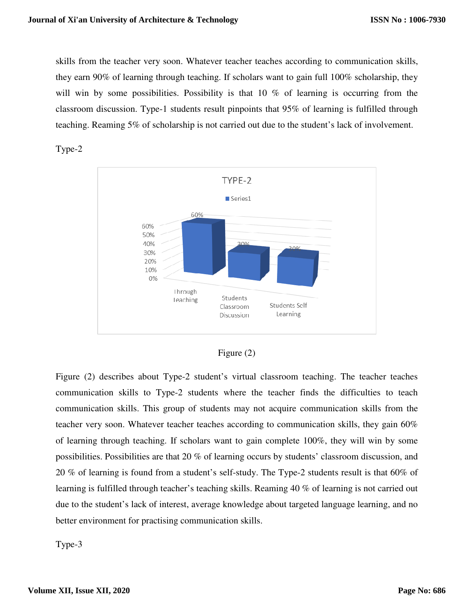skills from the teacher very soon. Whatever teacher teaches according to communication skills, they earn 90% of learning through teaching. If scholars want to gain full 100% scholarship, they will win by some possibilities. Possibility is that 10 % of learning is occurring from the classroom discussion. Type-1 students result pinpoints that 95% of learning is fulfilled through teaching. Reaming 5% of scholarship is not carried out due to the student's lack of involvement.





| 19ure |  |
|-------|--|
|-------|--|

Figure (2) describes about Type-2 student's virtual classroom teaching. The teacher teaches communication skills to Type-2 students where the teacher finds the difficulties to teach communication skills. This group of students may not acquire communication skills from the teacher very soon. Whatever teacher teaches according to communication skills, they gain 60% of learning through teaching. If scholars want to gain complete 100%, they will win by some possibilities. Possibilities are that 20 % of learning occurs by students' classroom discussion, and 20 % of learning is found from a student's self-study. The Type-2 students result is that 60% of learning is fulfilled through teacher's teaching skills. Reaming 40 % of learning is not carried out due to the student's lack of interest, average knowledge about targeted language learning, and no better environment for practising communication skills.

Type-3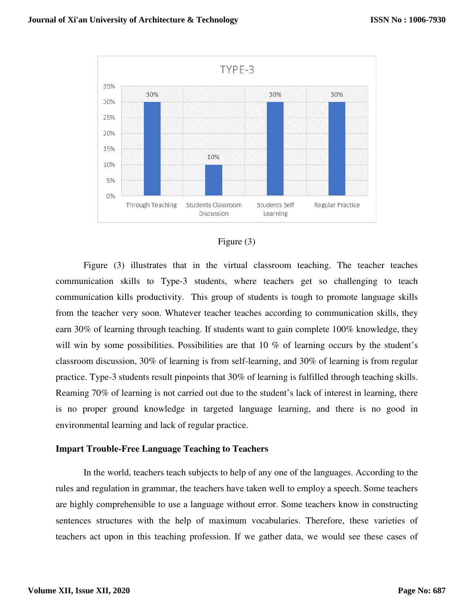

# Figure (3)

Figure (3) illustrates that in the virtual classroom teaching. The teacher teaches communication skills to Type-3 students, where teachers get so challenging to teach communication kills productivity. This group of students is tough to promote language skills from the teacher very soon. Whatever teacher teaches according to communication skills, they earn 30% of learning through teaching. If students want to gain complete 100% knowledge, they will win by some possibilities. Possibilities are that 10 % of learning occurs by the student's classroom discussion, 30% of learning is from self-learning, and 30% of learning is from regular practice. Type-3 students result pinpoints that 30% of learning is fulfilled through teaching skills. Reaming 70% of learning is not carried out due to the student's lack of interest in learning, there is no proper ground knowledge in targeted language learning, and there is no good in environmental learning and lack of regular practice.

# **Impart Trouble-Free Language Teaching to Teachers**

In the world, teachers teach subjects to help of any one of the languages. According to the rules and regulation in grammar, the teachers have taken well to employ a speech. Some teachers are highly comprehensible to use a language without error. Some teachers know in constructing sentences structures with the help of maximum vocabularies. Therefore, these varieties of teachers act upon in this teaching profession. If we gather data, we would see these cases of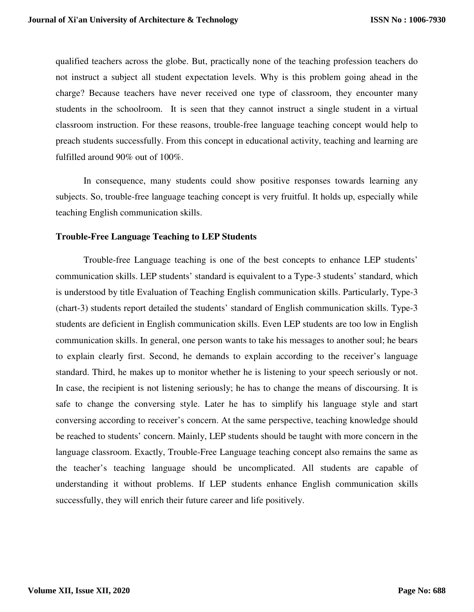qualified teachers across the globe. But, practically none of the teaching profession teachers do not instruct a subject all student expectation levels. Why is this problem going ahead in the charge? Because teachers have never received one type of classroom, they encounter many students in the schoolroom. It is seen that they cannot instruct a single student in a virtual classroom instruction. For these reasons, trouble-free language teaching concept would help to preach students successfully. From this concept in educational activity, teaching and learning are fulfilled around 90% out of 100%.

In consequence, many students could show positive responses towards learning any subjects. So, trouble-free language teaching concept is very fruitful. It holds up, especially while teaching English communication skills.

#### **Trouble-Free Language Teaching to LEP Students**

Trouble-free Language teaching is one of the best concepts to enhance LEP students' communication skills. LEP students' standard is equivalent to a Type-3 students' standard, which is understood by title Evaluation of Teaching English communication skills. Particularly, Type-3 (chart-3) students report detailed the students' standard of English communication skills. Type-3 students are deficient in English communication skills. Even LEP students are too low in English communication skills. In general, one person wants to take his messages to another soul; he bears to explain clearly first. Second, he demands to explain according to the receiver's language standard. Third, he makes up to monitor whether he is listening to your speech seriously or not. In case, the recipient is not listening seriously; he has to change the means of discoursing. It is safe to change the conversing style. Later he has to simplify his language style and start conversing according to receiver's concern. At the same perspective, teaching knowledge should be reached to students' concern. Mainly, LEP students should be taught with more concern in the language classroom. Exactly, Trouble-Free Language teaching concept also remains the same as the teacher's teaching language should be uncomplicated. All students are capable of understanding it without problems. If LEP students enhance English communication skills successfully, they will enrich their future career and life positively.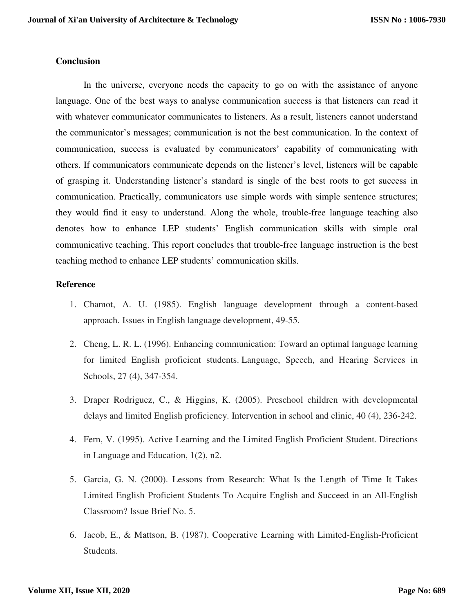#### **Conclusion**

In the universe, everyone needs the capacity to go on with the assistance of anyone language. One of the best ways to analyse communication success is that listeners can read it with whatever communicator communicates to listeners. As a result, listeners cannot understand the communicator's messages; communication is not the best communication. In the context of communication, success is evaluated by communicators' capability of communicating with others. If communicators communicate depends on the listener's level, listeners will be capable of grasping it. Understanding listener's standard is single of the best roots to get success in communication. Practically, communicators use simple words with simple sentence structures; they would find it easy to understand. Along the whole, trouble-free language teaching also denotes how to enhance LEP students' English communication skills with simple oral communicative teaching. This report concludes that trouble-free language instruction is the best teaching method to enhance LEP students' communication skills.

### **Reference**

- 1. Chamot, A. U. (1985). English language development through a content-based approach. Issues in English language development, 49-55.
- 2. Cheng, L. R. L. (1996). Enhancing communication: Toward an optimal language learning for limited English proficient students. Language, Speech, and Hearing Services in Schools, 27 (4), 347-354.
- 3. Draper Rodriguez, C., & Higgins, K. (2005). Preschool children with developmental delays and limited English proficiency. Intervention in school and clinic, 40 (4), 236-242.
- 4. Fern, V. (1995). Active Learning and the Limited English Proficient Student. Directions in Language and Education, 1(2), n2.
- 5. Garcia, G. N. (2000). Lessons from Research: What Is the Length of Time It Takes Limited English Proficient Students To Acquire English and Succeed in an All-English Classroom? Issue Brief No. 5.
- 6. Jacob, E., & Mattson, B. (1987). Cooperative Learning with Limited-English-Proficient Students.